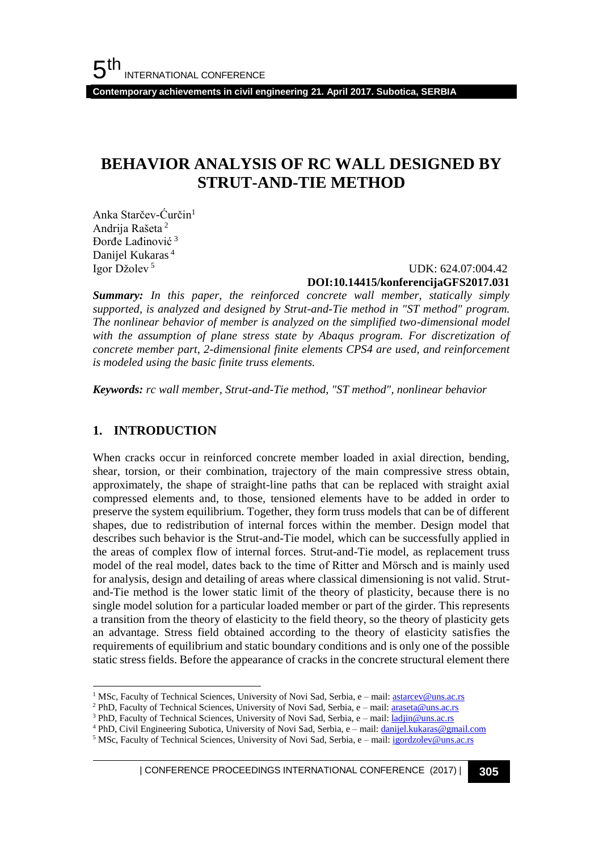**Contemporary achievements in civil engineering 21. April 2017. Subotica, SERBIA**

## **BEHAVIOR ANALYSIS OF RC WALL DESIGNED BY STRUT-AND-TIE METHOD**

Anka Starčev-Ćurčin<sup>1</sup> Andrija Rašeta <sup>2</sup> Đorđe Lađinović <sup>3</sup> Danijel Kukaras <sup>4</sup> Igor Džolev <sup>5</sup>

 UDK: 624.07:004.42 **DOI:10.14415/konferencijaGFS2017.031**

*Summary: In this paper, the reinforced concrete wall member, statically simply supported, is analyzed and designed by Strut-and-Tie method in "ST method" program. The nonlinear behavior of member is analyzed on the simplified two-dimensional model*  with the assumption of plane stress state by Abaqus program. For discretization of *concrete member part, 2-dimensional finite elements CPS4 are used, and reinforcement is modeled using the basic finite truss elements.*

*Keywords: rc wall member, Strut-and-Tie method, "ST method", nonlinear behavior*

### **1. INTRODUCTION**

l

When cracks occur in reinforced concrete member loaded in axial direction, bending, shear, torsion, or their combination, trajectory of the main compressive stress obtain, approximately, the shape of straight-line paths that can be replaced with straight axial compressed elements and, to those, tensioned elements have to be added in order to preserve the system equilibrium. Together, they form truss models that can be of different shapes, due to redistribution of internal forces within the member. Design model that describes such behavior is the Strut-and-Tie model, which can be successfully applied in the areas of complex flow of internal forces. Strut-and-Tie model, as replacement truss model of the real model, dates back to the time of Ritter and Mörsch and is mainly used for analysis, design and detailing of areas where classical dimensioning is not valid. Strutand-Tie method is the lower static limit of the theory of plasticity, because there is no single model solution for a particular loaded member or part of the girder. This represents a transition from the theory of elasticity to the field theory, so the theory of plasticity gets an advantage. Stress field obtained according to the theory of elasticity satisfies the requirements of equilibrium and static boundary conditions and is only one of the possible static stress fields. Before the appearance of cracks in the concrete structural element there

<sup>&</sup>lt;sup>1</sup> MSc, Faculty of Technical Sciences, University of Novi Sad, Serbia, e - mail: astarcev@uns.ac.rs

<sup>&</sup>lt;sup>2</sup> PhD, Faculty of Technical Sciences, University of Novi Sad, Serbia, e - mail[: araseta@uns.ac.rs](mailto:araseta@uns.ac.rs)

<sup>&</sup>lt;sup>3</sup> PhD, Faculty of Technical Sciences, University of Novi Sad, Serbia, e - mail[: ladjin@uns.ac.rs](mailto:ladjin@uns.ac.rs)

<sup>4</sup> PhD, Civil Engineering Subotica, University of Novi Sad, Serbia, e – mail: danijel.kukaras@gmail.com

<sup>&</sup>lt;sup>5</sup> MSc, Faculty of Technical Sciences, University of Novi Sad, Serbia, e – mail: igordzolev@uns.ac.rs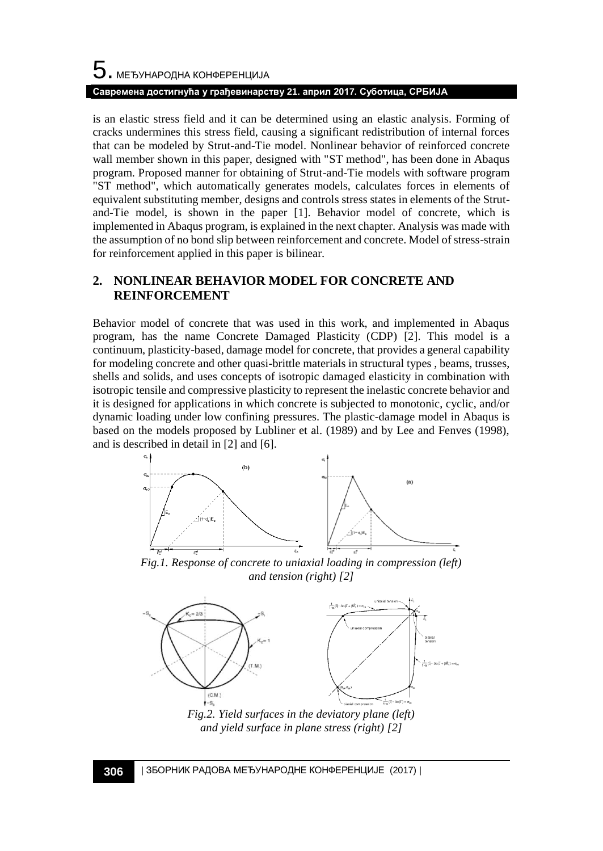# $5$ . међународна конференција **Савремена достигнућа у грађевинарству 21. април 2017. Суботица, СРБИЈА**

is an elastic stress field and it can be determined using an elastic analysis. Forming of cracks undermines this stress field, causing a significant redistribution of internal forces that can be modeled by Strut-and-Tie model. Nonlinear behavior of reinforced concrete wall member shown in this paper, designed with "ST method", has been done in Abaqus program. Proposed manner for obtaining of Strut-and-Tie models with software program "ST method", which automatically generates models, calculates forces in elements of equivalent substituting member, designs and controls stress states in elements of the Strutand-Tie model, is shown in the paper [\[1\].](#page-5-0) Behavior model of concrete, which is implemented in Abaqus program, is explained in the next chapter. Analysis was made with the assumption of no bond slip between reinforcement and concrete. Model of stress-strain for reinforcement applied in this paper is bilinear.

### **2. NONLINEAR BEHAVIOR MODEL FOR CONCRETE AND REINFORCEMENT**

Behavior model of concrete that was used in this work, and implemented in Abaqus program, has the name Concrete Damaged Plasticity (CDP) [\[2\].](#page-5-1) This model is a continuum, plasticity-based, damage model for concrete, that provides a general capability for modeling concrete and other quasi-brittle materials in structural types , beams, trusses, shells and solids, and uses concepts of isotropic damaged elasticity in combination with isotropic tensile and compressive plasticity to represent the inelastic concrete behavior and it is designed for applications in which concrete is subjected to monotonic, cyclic, and/or dynamic loading under low confining pressures. The plastic-damage model in Abaqus is based on the models proposed by Lubliner et al. (1989) and by Lee and Fenves (1998), and is described in detail in [\[2\]](#page-5-1) an[d \[6\].](#page--1-0)



*Fig.1. Response of concrete to uniaxial loading in compression (left) and tension (right) [\[2\]](#page-5-1)*



*Fig.2. Yield surfaces in the deviatory plane (left) and yield surface in plane stress (right) [\[2\]](#page-5-1)*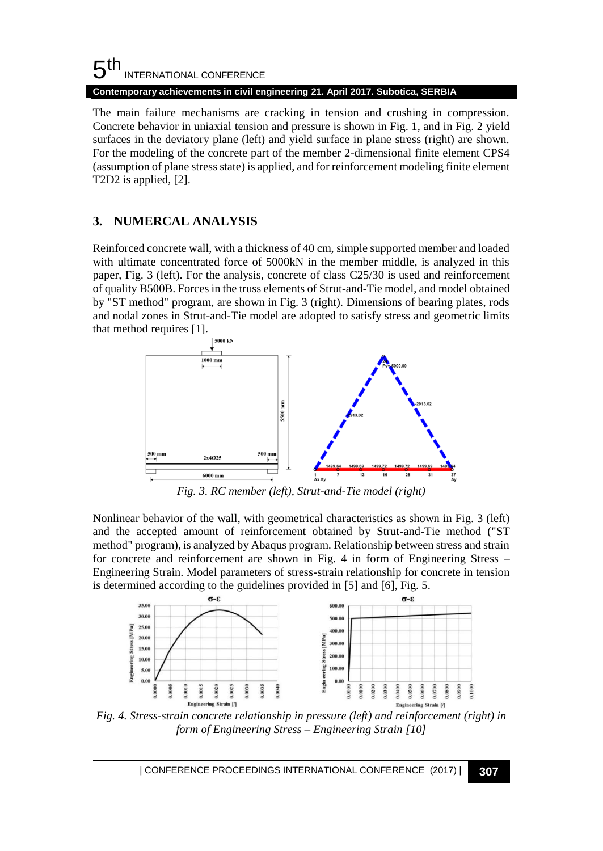#### 5 th INTERNATIONAL CONFERENCE **Contemporary achievements in civil engineering 21. April 2017. Subotica, SERBIA**

The main failure mechanisms are cracking in tension and crushing in compression. Concrete behavior in uniaxial tension and pressure is shown in Fig. 1, and in Fig. 2 yield surfaces in the deviatory plane (left) and yield surface in plane stress (right) are shown. For the modeling of the concrete part of the member 2-dimensional finite element CPS4 (assumption of plane stress state) is applied, and for reinforcement modeling finite element T2D2 is applied, [\[2\].](#page-5-1)

### **3. NUMERCAL ANALYSIS**

Reinforced concrete wall, with a thickness of 40 cm, simple supported member and loaded with ultimate concentrated force of 5000kN in the member middle, is analyzed in this paper, Fig. 3 (left). For the analysis, concrete of class C25/30 is used and reinforcement of quality B500B. Forces in the truss elements of Strut-and-Tie model, and model obtained by "ST method" program, are shown in Fig. 3 (right). Dimensions of bearing plates, rods and nodal zones in Strut-and-Tie model are adopted to satisfy stress and geometric limits that method requires [\[1\].](#page-5-0)



*Fig. 3. RC member (left), Strut-and-Tie model (right)*

Nonlinear behavior of the wall, with geometrical characteristics as shown in Fig. 3 (left) and the accepted amount of reinforcement obtained by Strut-and-Tie method ("ST method" program), is analyzed by Abaqus program. Relationship between stress and strain for concrete and reinforcement are shown in Fig. 4 in form of Engineering Stress – Engineering Strain. Model parameters of stress-strain relationship for concrete in tension is determined according to the guidelines provided in [\[5\]](#page-5-2) and [\[6\],](#page-5-3) Fig. 5.



*Fig. 4. Stress-strain concrete relationship in pressure (left) and reinforcement (right) in form of Engineering Stress – Engineering Strain [\[10\]](#page--1-1)*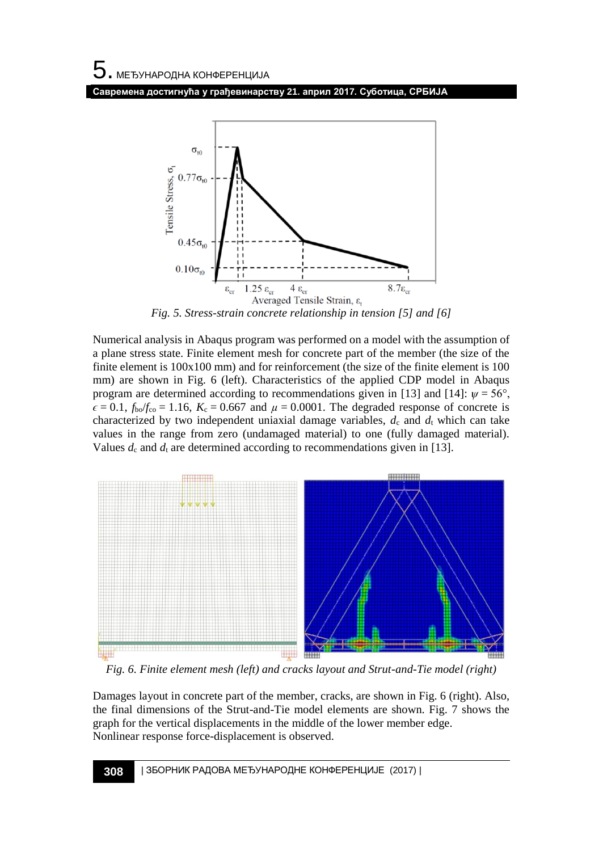**Савремена достигнућа у грађевинарству 21. април 2017. Суботица, СРБИЈА**



*Fig. 5. Stress-strain concrete relationship in tension [\[5\]](#page-5-2) an[d \[6\]](#page-5-3)*

Numerical analysis in Abaqus program was performed on a model with the assumption of a plane stress state. Finite element mesh for concrete part of the member (the size of the finite element is 100x100 mm) and for reinforcement (the size of the finite element is 100 mm) are shown in Fig. 6 (left). Characteristics of the applied CDP model in Abaqus program are determined according to recommendations given in [\[13\]](#page--1-2) and [\[14\]:](#page--1-3)  $\psi = 56^{\circ}$ ,  $\epsilon = 0.1$ ,  $f_{\text{bo}}/f_{\text{co}} = 1.16$ ,  $K_c = 0.667$  and  $\mu = 0.0001$ . The degraded response of concrete is characterized by two independent uniaxial damage variables,  $d_c$  and  $d_t$  which can take values in the range from zero (undamaged material) to one (fully damaged material). Values  $d_c$  and  $d_t$  are determined according to recommendations given in [\[13\].](#page--1-2)



*Fig. 6. Finite element mesh (left) and cracks layout and Strut-and-Tie model (right)*

Damages layout in concrete part of the member, cracks, are shown in Fig. 6 (right). Also, the final dimensions of the Strut-and-Tie model elements are shown. Fig. 7 shows the graph for the vertical displacements in the middle of the lower member edge. Nonlinear response force-displacement is observed.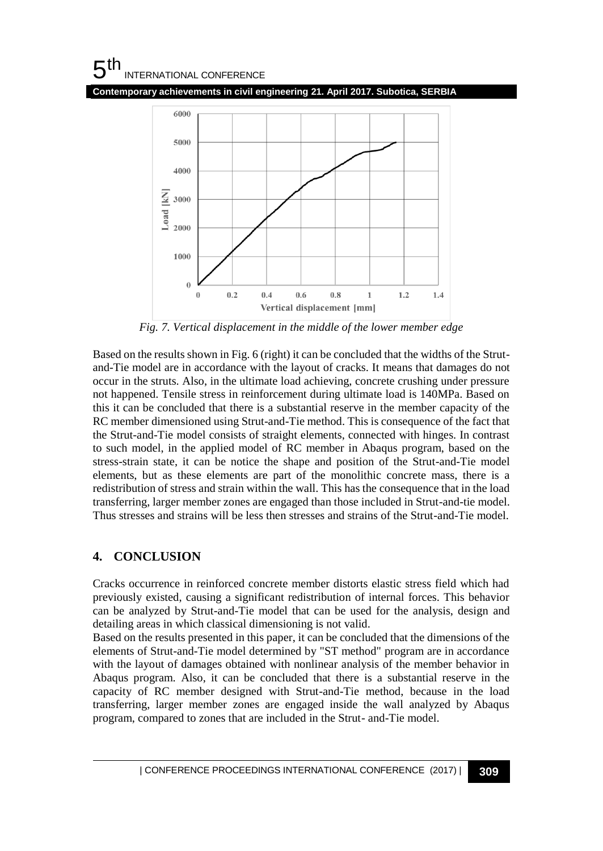#### 5 th INTERNATIONAL CONFERENCE

**Contemporary achievements in civil engineering 21. April 2017. Subotica, SERBIA**



*Fig. 7. Vertical displacement in the middle of the lower member edge*

Based on the results shown in Fig. 6 (right) it can be concluded that the widths of the Strutand-Tie model are in accordance with the layout of cracks. It means that damages do not occur in the struts. Also, in the ultimate load achieving, concrete crushing under pressure not happened. Tensile stress in reinforcement during ultimate load is 140MPa. Based on this it can be concluded that there is a substantial reserve in the member capacity of the RC member dimensioned using Strut-and-Tie method. This is consequence of the fact that the Strut-and-Tie model consists of straight elements, connected with hinges. In contrast to such model, in the applied model of RC member in Abaqus program, based on the stress-strain state, it can be notice the shape and position of the Strut-and-Tie model elements, but as these elements are part of the monolithic concrete mass, there is a redistribution of stress and strain within the wall. This has the consequence that in the load transferring, larger member zones are engaged than those included in Strut-and-tie model. Thus stresses and strains will be less then stresses and strains of the Strut-and-Tie model.

### **4. CONCLUSION**

Cracks occurrence in reinforced concrete member distorts elastic stress field which had previously existed, causing a significant redistribution of internal forces. This behavior can be analyzed by Strut-and-Tie model that can be used for the analysis, design and detailing areas in which classical dimensioning is not valid.

Based on the results presented in this paper, it can be concluded that the dimensions of the elements of Strut-and-Tie model determined by "ST method" program are in accordance with the layout of damages obtained with nonlinear analysis of the member behavior in Abaqus program. Also, it can be concluded that there is a substantial reserve in the capacity of RC member designed with Strut-and-Tie method, because in the load transferring, larger member zones are engaged inside the wall analyzed by Abaqus program, compared to zones that are included in the Strut- and-Tie model.